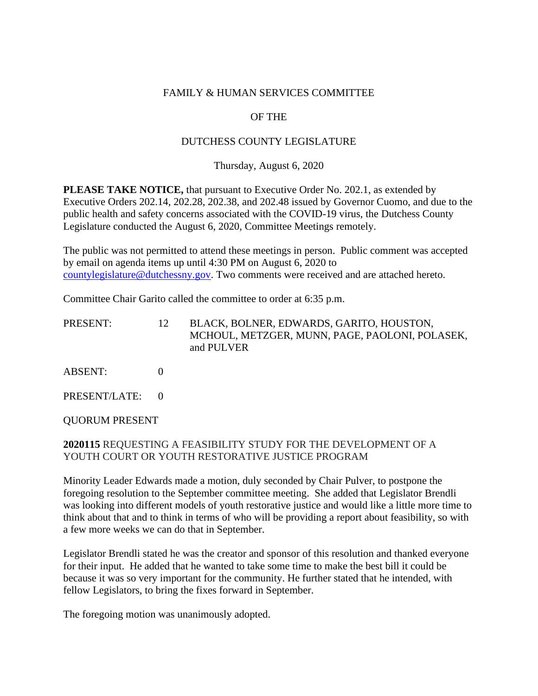### FAMILY & HUMAN SERVICES COMMITTEE

# OF THE

### DUTCHESS COUNTY LEGISLATURE

Thursday, August 6, 2020

**PLEASE TAKE NOTICE,** that pursuant to Executive Order No. 202.1, as extended by Executive Orders 202.14, 202.28, 202.38, and 202.48 issued by Governor Cuomo, and due to the public health and safety concerns associated with the COVID-19 virus, the Dutchess County Legislature conducted the August 6, 2020, Committee Meetings remotely.

The public was not permitted to attend these meetings in person. Public comment was accepted by email on agenda items up until 4:30 PM on August 6, 2020 to [countylegislature@dutchessny.gov.](mailto:countylegislature@dutchessny.gov) Two comments were received and are attached hereto.

Committee Chair Garito called the committee to order at 6:35 p.m.

| PRESENT:      | 12 | BLACK, BOLNER, EDWARDS, GARITO, HOUSTON,<br>MCHOUL, METZGER, MUNN, PAGE, PAOLONI, POLASEK,<br>and PULVER |
|---------------|----|----------------------------------------------------------------------------------------------------------|
| ABSENT:       |    |                                                                                                          |
| PRESENT/LATE: |    |                                                                                                          |

QUORUM PRESENT

# **2020115** REQUESTING A FEASIBILITY STUDY FOR THE DEVELOPMENT OF A YOUTH COURT OR YOUTH RESTORATIVE JUSTICE PROGRAM

Minority Leader Edwards made a motion, duly seconded by Chair Pulver, to postpone the foregoing resolution to the September committee meeting. She added that Legislator Brendli was looking into different models of youth restorative justice and would like a little more time to think about that and to think in terms of who will be providing a report about feasibility, so with a few more weeks we can do that in September.

Legislator Brendli stated he was the creator and sponsor of this resolution and thanked everyone for their input. He added that he wanted to take some time to make the best bill it could be because it was so very important for the community. He further stated that he intended, with fellow Legislators, to bring the fixes forward in September.

The foregoing motion was unanimously adopted.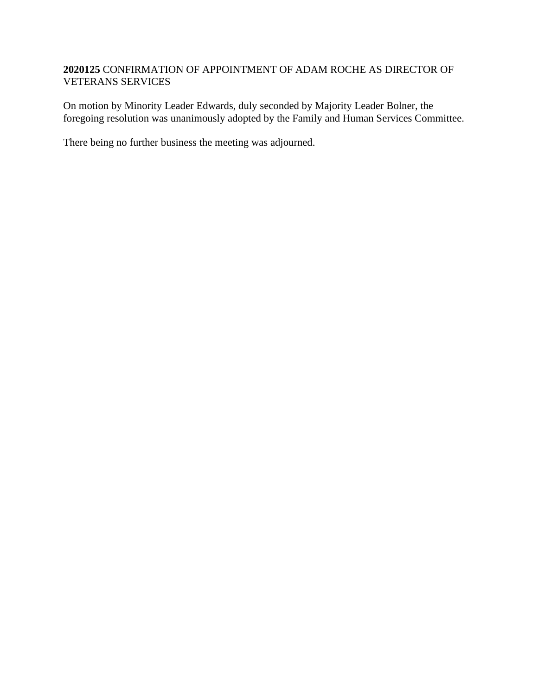# **2020125** CONFIRMATION OF APPOINTMENT OF ADAM ROCHE AS DIRECTOR OF VETERANS SERVICES

On motion by Minority Leader Edwards, duly seconded by Majority Leader Bolner, the foregoing resolution was unanimously adopted by the Family and Human Services Committee.

There being no further business the meeting was adjourned.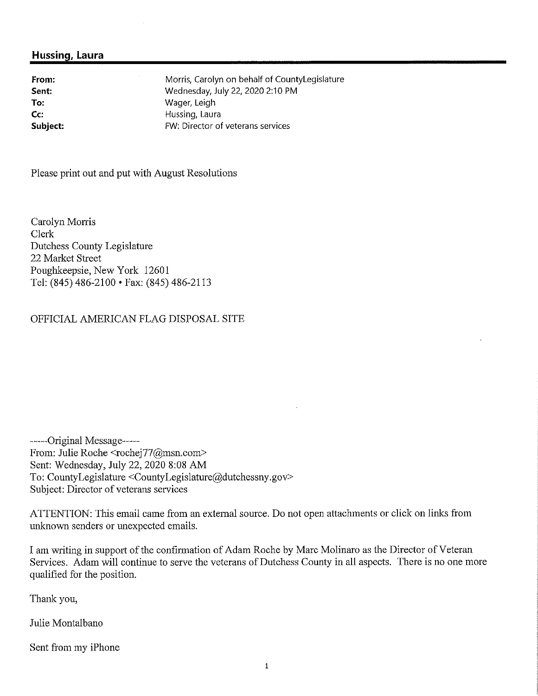### **Hussing, Laura**

**From: Sent: To: Cc: Subject:** Morris, Carolyn on behalf of CountyLegislature Wednesday,July 22, <sup>2020</sup> 2:10 PM Wager, Leigh Hussing, Laura FW: Director of veterans services

Please print out and put with August Resolutions

Carolyn Morris Clerk Dutchess County Legislature 22 Market Street Poughkeepsie, New York 12601 Tel:(845) 486-2100 •Fax: (845) 486-2113

#### OFFICIAL AMERICAN FLAG DISPOSAL SITE

-----Original Message-----From: Julie Roche <rochej77@msn.com> Sent: Wednesday,July 22, 2020 8:08 AM To: CountyLegislature <CountyLegislature@dutchessny.gov> Subject: Director of veterans services

ATTENTION: This email came from an external source. Do not open attachments or click on links from unknown senders or unexpected emails.

I am writing in support of the confirmation of Adam Roche by Marc Molinaro as the Director of Veteran Services. Adam will continue to serve the veterans of Dutchess County in all aspects. There is no one more qualified for the position.

Thank you,

Julie Montalbano

Sent from my iPhone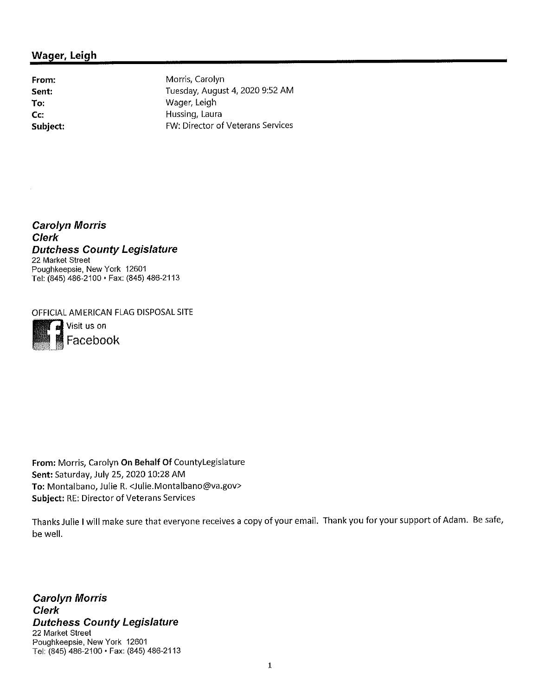# **Wager, Leigh**

**From: Sent: To: Cc: Subject:** Morris, Carolyn Tuesday, August <sup>4</sup>, 2020 <sup>9</sup>:<sup>52</sup> AM Wager, Leigh Hussing, Laura FW: Director of Veterans Services

*Carolyn Morris Clerk Dutchess County Legislature* 22 Market Street Poughkeepsie, New York 12601 Tel: (845) 486-2100 •Fax: (845) <sup>486</sup>-2113

OFFICIAL AMERICAN FLAG DISPOSAL SITE



*eli* Visit us on Facebook

**From:** Morris, Carolyn **On Behalf Of** CountyLegislature **Sent:**Saturday, July 25, 2020 10:28 AM **To:** Montalbano, Julie R. <Julie.Montalbano@va.gov> **Subject:** RE: Director of Veterans Services

Thanks Julie <sup>I</sup> will make sure that everyone receives <sup>a</sup> copy of your email. Thank you for your support of Adam. Be safe, be well.

*Carolyn Morris Clerk Dutchess County Legislature 22* Market Street Poughkeepsie, New York 12601 Tel: (845) 486-2100 •Fax: (845) 486-2113